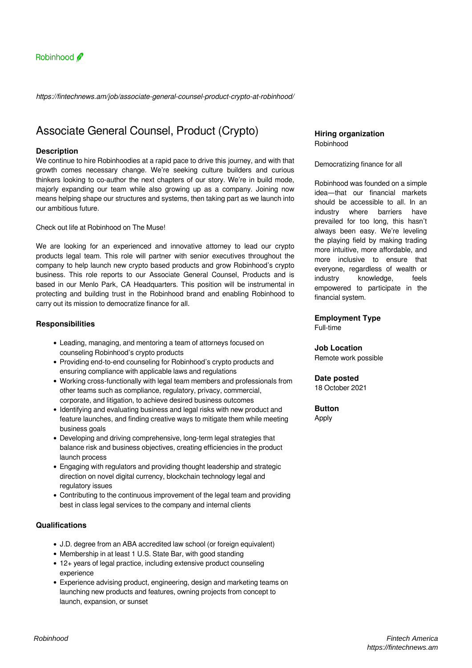

*https://fintechnews.am/job/associate-general-counsel-product-crypto-at-robinhood/*

# Associate General Counsel, Product (Crypto)

## **Description**

We continue to hire Robinhoodies at a rapid pace to drive this journey, and with that growth comes necessary change. We're seeking culture builders and curious thinkers looking to co-author the next chapters of our story. We're in build mode, majorly expanding our team while also growing up as a company. Joining now means helping shape our structures and systems, then taking part as we launch into our ambitious future.

Check out life at Robinhood on The Muse!

We are looking for an experienced and innovative attorney to lead our crypto products legal team. This role will partner with senior executives throughout the company to help launch new crypto based products and grow Robinhood's crypto business. This role reports to our Associate General Counsel, Products and is based in our Menlo Park, CA Headquarters. This position will be instrumental in protecting and building trust in the Robinhood brand and enabling Robinhood to carry out its mission to democratize finance for all.

## **Responsibilities**

- Leading, managing, and mentoring a team of attorneys focused on counseling Robinhood's crypto products
- Providing end-to-end counseling for Robinhood's crypto products and ensuring compliance with applicable laws and regulations
- Working cross-functionally with legal team members and professionals from other teams such as compliance, regulatory, privacy, commercial, corporate, and litigation, to achieve desired business outcomes
- Identifying and evaluating business and legal risks with new product and feature launches, and finding creative ways to mitigate them while meeting business goals
- Developing and driving comprehensive, long-term legal strategies that balance risk and business objectives, creating efficiencies in the product launch process
- Engaging with regulators and providing thought leadership and strategic direction on novel digital currency, blockchain technology legal and regulatory issues
- Contributing to the continuous improvement of the legal team and providing best in class legal services to the company and internal clients

## **Qualifications**

- J.D. degree from an ABA accredited law school (or foreign equivalent)
- Membership in at least 1 U.S. State Bar, with good standing
- 12+ years of legal practice, including extensive product counseling experience
- Experience advising product, engineering, design and marketing teams on launching new products and features, owning projects from concept to launch, expansion, or sunset

## **Hiring organization** Robinhood

#### Democratizing finance for all

Robinhood was founded on a simple idea—that our financial markets should be accessible to all. In an industry where barriers have prevailed for too long, this hasn't always been easy. We're leveling the playing field by making trading more intuitive, more affordable, and more inclusive to ensure that everyone, regardless of wealth or industry knowledge, feels empowered to participate in the financial system.

## **Employment Type**

Full-time

## **Job Location**

Remote work possible

## **Date posted**

18 October 2021

**Button** Apply